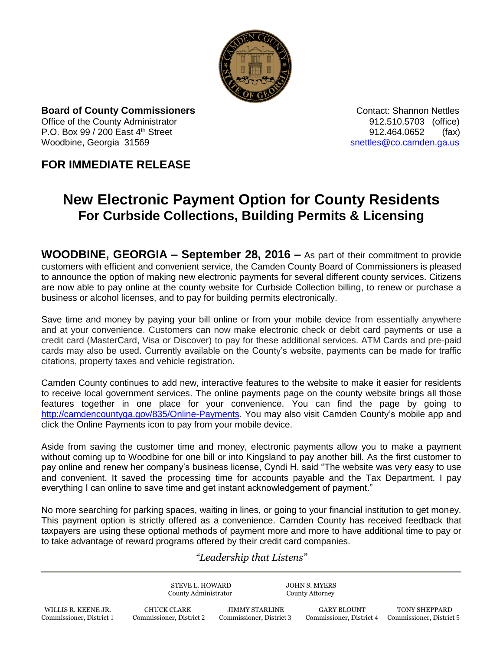

**Board of County Commissioners Contact: Shannon Nettles Contact: Shannon Nettles** Office of the County Administrator 912.510.5703 (office) P.O. Box  $99 / 200$  East  $4<sup>th</sup>$  Street 912.464.0652 (fax) Woodbine, Georgia 31569 [snettles@co.camden.ga.us](mailto:snettles@co.camden.ga.us)

## **FOR IMMEDIATE RELEASE**

## **New Electronic Payment Option for County Residents For Curbside Collections, Building Permits & Licensing**

**WOODBINE, GEORGIA – September 28, 2016 –** As part of their commitment to provide customers with efficient and convenient service, the Camden County Board of Commissioners is pleased to announce the option of making new electronic payments for several different county services. Citizens are now able to pay online at the county website for Curbside Collection billing, to renew or purchase a business or alcohol licenses, and to pay for building permits electronically.

Save time and money by paying your bill online or from your mobile device from essentially anywhere and at your convenience. Customers can now make electronic check or debit card payments or use a credit card (MasterCard, Visa or Discover) to pay for these additional services. ATM Cards and pre-paid cards may also be used. Currently available on the County's website, payments can be made for traffic citations, property taxes and vehicle registration.

Camden County continues to add new, interactive features to the website to make it easier for residents to receive local government services. The online payments page on the county website brings all those features together in one place for your convenience. You can find the page by going to [http://camdencountyga.gov/835/Online-Payments.](http://camdencountyga.gov/835/Online-Payments) You may also visit Camden County's mobile app and click the Online Payments icon to pay from your mobile device.

Aside from saving the customer time and money, electronic payments allow you to make a payment without coming up to Woodbine for one bill or into Kingsland to pay another bill. As the first customer to pay online and renew her company's business license, Cyndi H. said "The website was very easy to use and convenient. It saved the processing time for accounts payable and the Tax Department. I pay everything I can online to save time and get instant acknowledgement of payment."

No more searching for parking spaces, waiting in lines, or going to your financial institution to get money. This payment option is strictly offered as a convenience. Camden County has received feedback that taxpayers are using these optional methods of payment more and more to have additional time to pay or to take advantage of reward programs offered by their credit card companies.

## *"Leadership that Listens"*

STEVE L. HOWARD JOHN S. MYERS County Administrator County Attorney

 WILLIS R. KEENE JR. CHUCK CLARK JIMMY STARLINE GARY BLOUNT TONY SHEPPARD Commissioner, District 1 Commissioner, District 2 Commissioner, District 3 Commissioner, District 4 Commissioner, District 5